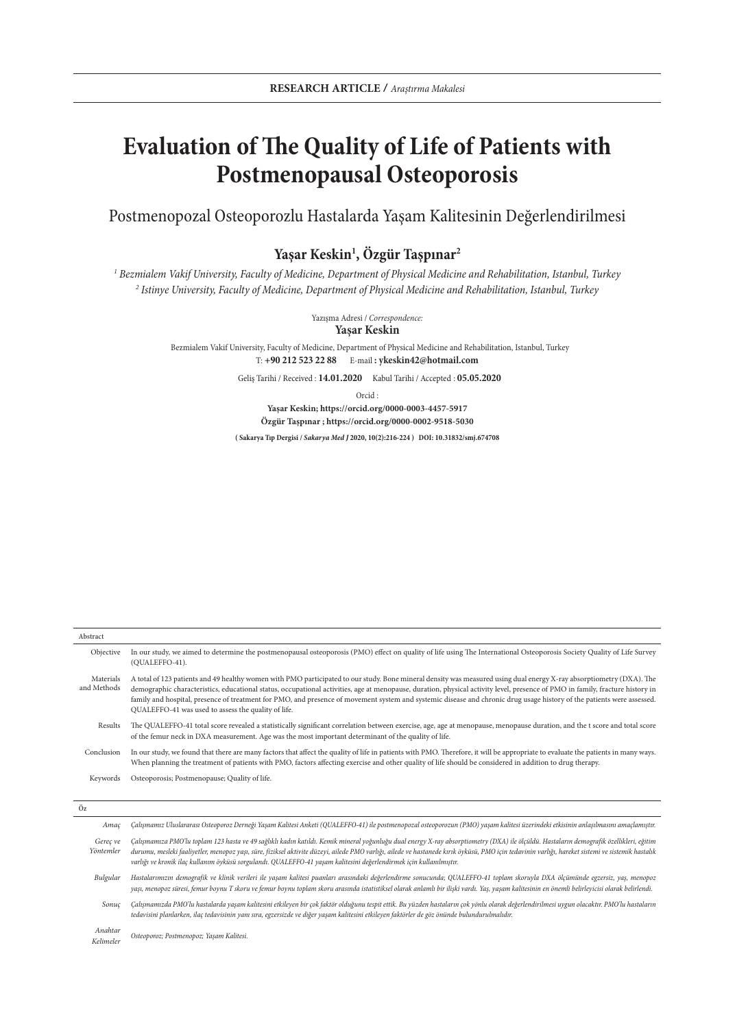# **Evaluation of The Quality of Life of Patients with Postmenopausal Osteoporosis**

## Postmenopozal Osteoporozlu Hastalarda Yaşam Kalitesinin Değerlendirilmesi

**Yaşar Keskin1 , Özgür Taşpınar2**

*1 Bezmialem Vakif University, Faculty of Medicine, Department of Physical Medicine and Rehabilitation, Istanbul, Turkey 2 Istinye University, Faculty of Medicine, Department of Physical Medicine and Rehabilitation, Istanbul, Turkey*

> Yazışma Adresi / *Correspondence:* **Yaşar Keskin**

 Bezmialem Vakif University, Faculty of Medicine, Department of Physical Medicine and Rehabilitation, Istanbul, Turkey T: **+90 212 523 22 88** E-mail **: ykeskin42@hotmail.com** 

Geliş Tarihi / Received : **14.01.2020** Kabul Tarihi / Accepted : **05.05.2020**

Orcid :

**Yaşar Keskin; https://orcid.org/0000-0003-4457-5917 Özgür Taşpınar ; https://orcid.org/0000-0002-9518-5030**

**( Sakarya Tıp Dergisi /** *Sakarya Med J* **2020, 10(2):216-224 ) DOI: 10.31832/smj.674708**

| Objective                | In our study, we aimed to determine the postmenopausal osteoporosis (PMO) effect on quality of life using The International Osteoporosis Society Quality of Life Survey<br>(QUALEFFO-41).                                                                                                                                                                                                                                                                                                                                                                                              |
|--------------------------|----------------------------------------------------------------------------------------------------------------------------------------------------------------------------------------------------------------------------------------------------------------------------------------------------------------------------------------------------------------------------------------------------------------------------------------------------------------------------------------------------------------------------------------------------------------------------------------|
| Materials<br>and Methods | A total of 123 patients and 49 healthy women with PMO participated to our study. Bone mineral density was measured using dual energy X-ray absorptiometry (DXA). The<br>demographic characteristics, educational status, occupational activities, age at menopause, duration, physical activity level, presence of PMO in family, fracture history in<br>family and hospital, presence of treatment for PMO, and presence of movement system and systemic disease and chronic drug usage history of the patients were assessed.<br>QUALEFFO-41 was used to assess the quality of life. |
| Results                  | The QUALEFFO-41 total score revealed a statistically significant correlation between exercise, age, age at menopause, menopause duration, and the t score and total score<br>of the femur neck in DXA measurement. Age was the most important determinant of the quality of life.                                                                                                                                                                                                                                                                                                      |
| Conclusion               | In our study, we found that there are many factors that affect the quality of life in patients with PMO. Therefore, it will be appropriate to evaluate the patients in many ways.<br>When planning the treatment of patients with PMO, factors affecting exercise and other quality of life should be considered in addition to drug therapy.                                                                                                                                                                                                                                          |
| Keywords                 | Osteoporosis; Postmenopause; Quality of life.                                                                                                                                                                                                                                                                                                                                                                                                                                                                                                                                          |
| Öz                       |                                                                                                                                                                                                                                                                                                                                                                                                                                                                                                                                                                                        |
| Amac                     | Çalışmamız Uluslararası Osteoporoz Derneği Yaşam Kalitesi Anketi (QUALEFFO-41) ile postmenopozal osteoporozun (PMO) yaşam kalitesi üzerindeki etkisinin anlaşılmasını amaçlamıştır.                                                                                                                                                                                                                                                                                                                                                                                                    |
| Gereç ve<br>Yöntemler    | Çalışmamıza PMO'lu toplam 123 hasta ve 49 sağlıklı kadın katıldı. Kemik mineral yoğunluğu dual energy X-ray absorptiometry (DXA) ile ölçüldü. Hastaların demografik özellikleri, eğitim<br>durumu, mesleki faaliyetler, menopoz yaşı, süre, fiziksel aktivite düzeyi, ailede PMO varlığı, ailede ve hastanede kırık öyküsü, PMO için tedavinin varlığı, hareket sistemi ve sistemik hastalık<br>varlığı ve kronik ilaç kullanım öyküsü sorgulandı. QUALEFFO-41 yaşam kalitesini değerlendirmek için kullanılmıştır.                                                                    |
|                          | n fit with the first the the three three forms on the fine the top of the top of the top of the three top of t                                                                                                                                                                                                                                                                                                                                                                                                                                                                         |

*Bulgular Hastalarımızın demografik ve klinik verileri ile yaşam kalitesi puanları arasındaki değerlendirme sonucunda; QUALEFFO-41 toplam skoruyla DXA ölçümünde egzersiz, yaş, menopoz yaşı, menopoz süresi, femur boynu T skoru ve femur boynu toplam skoru arasında istatistiksel olarak anlamlı bir ilişki vardı. Yaş, yaşam kalitesinin en önemli belirleyicisi olarak belirlendi.*

*Sonuç Çalışmamızda PMO'lu hastalarda yaşam kalitesini etkileyen bir çok faktör olduğunu tespit ettik. Bu yüzden hastaların çok yönlu olarak değerlendirilmesi uygun olacaktır. PMO'lu hastaların tedavisini planlarken, ilaç tedavisinin yanı sıra, egzersizde ve diğer yaşam kalitesini etkileyen faktörler de göz önünde bulundurulmalıdır.*

*Anahtar Kelimeler Osteoporoz; Postmenopoz; Yaşam Kalitesi.*

**Abstract**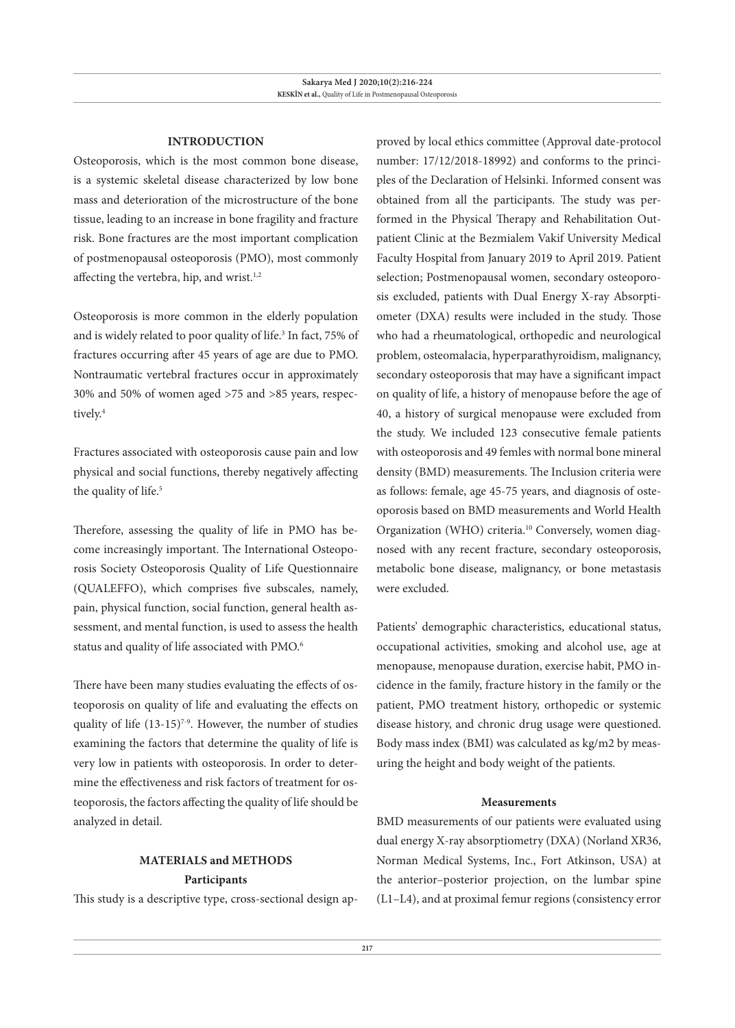#### **INTRODUCTION**

Osteoporosis, which is the most common bone disease, is a systemic skeletal disease characterized by low bone mass and deterioration of the microstructure of the bone tissue, leading to an increase in bone fragility and fracture risk. Bone fractures are the most important complication of postmenopausal osteoporosis (PMO), most commonly affecting the vertebra, hip, and wrist.<sup>1,2</sup>

Osteoporosis is more common in the elderly population and is widely related to poor quality of life.<sup>3</sup> In fact, 75% of fractures occurring after 45 years of age are due to PMO. Nontraumatic vertebral fractures occur in approximately 30% and 50% of women aged >75 and >85 years, respectively.<sup>4</sup>

Fractures associated with osteoporosis cause pain and low physical and social functions, thereby negatively affecting the quality of life.<sup>5</sup>

Therefore, assessing the quality of life in PMO has become increasingly important. The International Osteoporosis Society Osteoporosis Quality of Life Questionnaire (QUALEFFO), which comprises five subscales, namely, pain, physical function, social function, general health assessment, and mental function, is used to assess the health status and quality of life associated with PMO.<sup>6</sup>

There have been many studies evaluating the effects of osteoporosis on quality of life and evaluating the effects on quality of life  $(13-15)^{7.9}$ . However, the number of studies examining the factors that determine the quality of life is very low in patients with osteoporosis. In order to determine the effectiveness and risk factors of treatment for osteoporosis, the factors affecting the quality of life should be analyzed in detail.

## **MATERIALS and METHODS Participants**

This study is a descriptive type, cross-sectional design ap-

proved by local ethics committee (Approval date-protocol number: 17/12/2018-18992) and conforms to the principles of the Declaration of Helsinki. Informed consent was obtained from all the participants. The study was performed in the Physical Therapy and Rehabilitation Outpatient Clinic at the Bezmialem Vakif University Medical Faculty Hospital from January 2019 to April 2019. Patient selection; Postmenopausal women, secondary osteoporosis excluded, patients with Dual Energy X-ray Absorptiometer (DXA) results were included in the study. Those who had a rheumatological, orthopedic and neurological problem, osteomalacia, hyperparathyroidism, malignancy, secondary osteoporosis that may have a significant impact on quality of life, a history of menopause before the age of 40, a history of surgical menopause were excluded from the study. We included 123 consecutive female patients with osteoporosis and 49 femles with normal bone mineral density (BMD) measurements. The Inclusion criteria were as follows: female, age 45-75 years, and diagnosis of osteoporosis based on BMD measurements and World Health Organization (WHO) criteria.<sup>10</sup> Conversely, women diagnosed with any recent fracture, secondary osteoporosis, metabolic bone disease, malignancy, or bone metastasis were excluded.

Patients' demographic characteristics, educational status, occupational activities, smoking and alcohol use, age at menopause, menopause duration, exercise habit, PMO incidence in the family, fracture history in the family or the patient, PMO treatment history, orthopedic or systemic disease history, and chronic drug usage were questioned. Body mass index (BMI) was calculated as kg/m2 by measuring the height and body weight of the patients.

#### **Measurements**

BMD measurements of our patients were evaluated using dual energy X-ray absorptiometry (DXA) (Norland XR36, Norman Medical Systems, Inc., Fort Atkinson, USA) at the anterior–posterior projection, on the lumbar spine (L1–L4), and at proximal femur regions (consistency error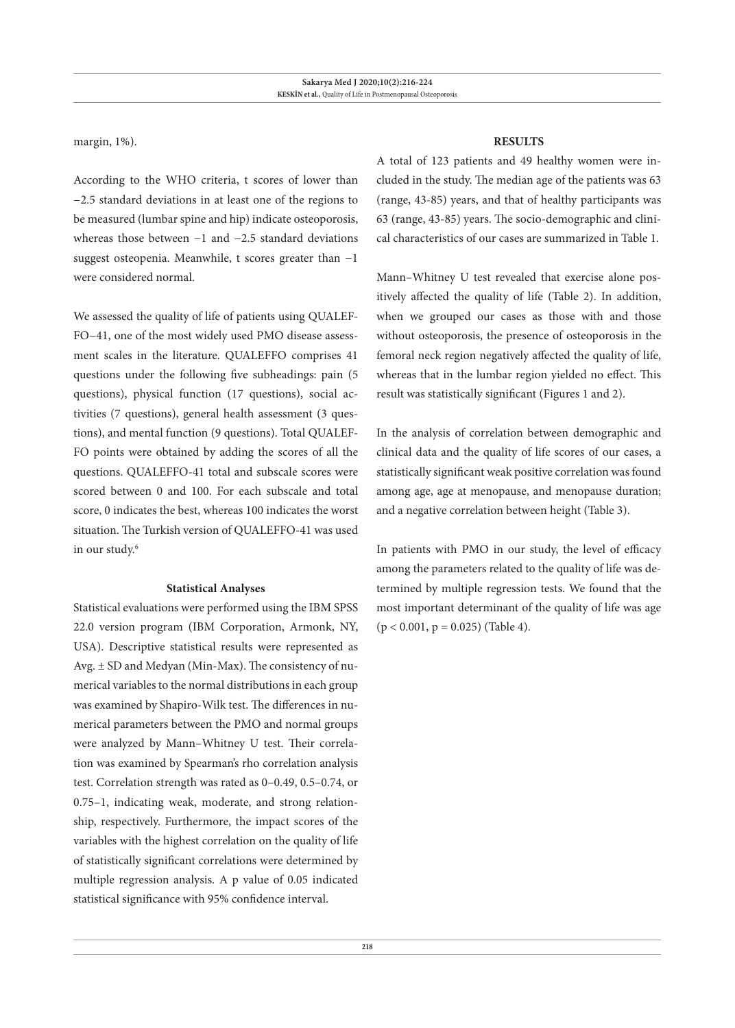margin, 1%).

According to the WHO criteria, t scores of lower than −2.5 standard deviations in at least one of the regions to be measured (lumbar spine and hip) indicate osteoporosis, whereas those between −1 and −2.5 standard deviations suggest osteopenia. Meanwhile, t scores greater than −1 were considered normal.

We assessed the quality of life of patients using QUALEF-FO−41, one of the most widely used PMO disease assessment scales in the literature. QUALEFFO comprises 41 questions under the following five subheadings: pain (5) questions), physical function (17 questions), social activities (7 questions), general health assessment (3 questions), and mental function (9 questions). Total QUALEF-FO points were obtained by adding the scores of all the questions. QUALEFFO-41 total and subscale scores were scored between 0 and 100. For each subscale and total score, 0 indicates the best, whereas 100 indicates the worst situation. The Turkish version of QUALEFFO-41 was used in our study.<sup>6</sup>

#### **Statistical Analyses**

Statistical evaluations were performed using the IBM SPSS 22.0 version program (IBM Corporation, Armonk, NY, USA). Descriptive statistical results were represented as Avg.  $\pm$  SD and Medyan (Min-Max). The consistency of numerical variables to the normal distributions in each group was examined by Shapiro-Wilk test. The differences in numerical parameters between the PMO and normal groups were analyzed by Mann-Whitney U test. Their correlation was examined by Spearman's rho correlation analysis test. Correlation strength was rated as 0–0.49, 0.5–0.74, or 0.75–1, indicating weak, moderate, and strong relationship, respectively. Furthermore, the impact scores of the variables with the highest correlation on the quality of life of statistically significant correlations were determined by multiple regression analysis. A p value of 0.05 indicated statistical significance with 95% confidence interval.

#### **RESULTS**

A total of 123 patients and 49 healthy women were included in the study. The median age of the patients was 63 (range, 43-85) years, and that of healthy participants was 63 (range, 43-85) years. The socio-demographic and clinical characteristics of our cases are summarized in Table 1.

Mann–Whitney U test revealed that exercise alone positively affected the quality of life (Table 2). In addition, when we grouped our cases as those with and those without osteoporosis, the presence of osteoporosis in the femoral neck region negatively affected the quality of life, whereas that in the lumbar region yielded no effect. This result was statistically significant (Figures 1 and 2).

In the analysis of correlation between demographic and clinical data and the quality of life scores of our cases, a statistically significant weak positive correlation was found among age, age at menopause, and menopause duration; and a negative correlation between height (Table 3).

In patients with PMO in our study, the level of efficacy among the parameters related to the quality of life was determined by multiple regression tests. We found that the most important determinant of the quality of life was age  $(p < 0.001, p = 0.025)$  (Table 4).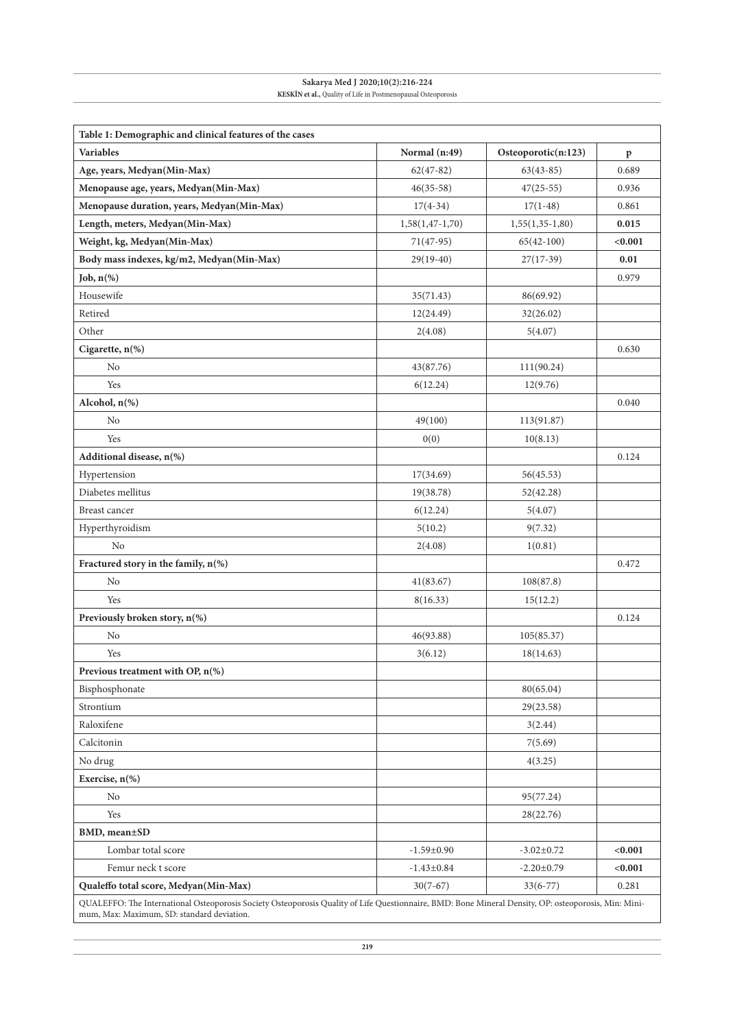| Table 1: Demographic and clinical features of the cases                                                                                                                                            |                   |                     |              |  |  |
|----------------------------------------------------------------------------------------------------------------------------------------------------------------------------------------------------|-------------------|---------------------|--------------|--|--|
| <b>Variables</b>                                                                                                                                                                                   | Normal (n:49)     | Osteoporotic(n:123) | $\mathbf{p}$ |  |  |
| Age, years, Medyan(Min-Max)                                                                                                                                                                        | $62(47-82)$       | $63(43-85)$         | 0.689        |  |  |
| Menopause age, years, Medyan(Min-Max)                                                                                                                                                              | $46(35-58)$       | $47(25-55)$         | 0.936        |  |  |
| Menopause duration, years, Medyan(Min-Max)                                                                                                                                                         | $17(4-34)$        | $17(1-48)$          | 0.861        |  |  |
| Length, meters, Medyan(Min-Max)                                                                                                                                                                    | $1,58(1,47-1,70)$ | $1,55(1,35-1,80)$   | 0.015        |  |  |
| Weight, kg, Medyan(Min-Max)                                                                                                                                                                        | $71(47-95)$       | $65(42-100)$        | < 0.001      |  |  |
| Body mass indexes, kg/m2, Medyan(Min-Max)                                                                                                                                                          | $29(19-40)$       | $27(17-39)$         | 0.01         |  |  |
| Job, $n$ $%$                                                                                                                                                                                       |                   |                     | 0.979        |  |  |
| Housewife                                                                                                                                                                                          | 35(71.43)         | 86(69.92)           |              |  |  |
| Retired                                                                                                                                                                                            | 12(24.49)         | 32(26.02)           |              |  |  |
| Other                                                                                                                                                                                              | 2(4.08)           | 5(4.07)             |              |  |  |
| Cigarette, n(%)                                                                                                                                                                                    |                   |                     | 0.630        |  |  |
| No                                                                                                                                                                                                 | 43(87.76)         | 111(90.24)          |              |  |  |
| Yes                                                                                                                                                                                                | 6(12.24)          | 12(9.76)            |              |  |  |
| Alcohol, n(%)                                                                                                                                                                                      |                   |                     | 0.040        |  |  |
| No                                                                                                                                                                                                 | 49(100)           | 113(91.87)          |              |  |  |
| Yes                                                                                                                                                                                                | 0(0)              | 10(8.13)            |              |  |  |
| Additional disease, n(%)                                                                                                                                                                           |                   |                     | 0.124        |  |  |
| Hypertension                                                                                                                                                                                       | 17(34.69)         | 56(45.53)           |              |  |  |
| Diabetes mellitus                                                                                                                                                                                  | 19(38.78)         | 52(42.28)           |              |  |  |
| Breast cancer                                                                                                                                                                                      | 6(12.24)          | 5(4.07)             |              |  |  |
| Hyperthyroidism                                                                                                                                                                                    | 5(10.2)           | 9(7.32)             |              |  |  |
| N <sub>o</sub>                                                                                                                                                                                     | 2(4.08)           | 1(0.81)             |              |  |  |
| Fractured story in the family, n(%)                                                                                                                                                                |                   |                     | 0.472        |  |  |
| No                                                                                                                                                                                                 | 41(83.67)         | 108(87.8)           |              |  |  |
| Yes                                                                                                                                                                                                | 8(16.33)          | 15(12.2)            |              |  |  |
| Previously broken story, n(%)<br>0.124                                                                                                                                                             |                   |                     |              |  |  |
| No                                                                                                                                                                                                 | 46(93.88)         | 105(85.37)          |              |  |  |
| Yes                                                                                                                                                                                                | 3(6.12)           | 18(14.63)           |              |  |  |
| Previous treatment with OP, $n$ <sup>(%)</sup>                                                                                                                                                     |                   |                     |              |  |  |
| Bisphosphonate                                                                                                                                                                                     |                   | 80(65.04)           |              |  |  |
| Strontium                                                                                                                                                                                          |                   | 29(23.58)           |              |  |  |
| Raloxifene                                                                                                                                                                                         |                   | 3(2.44)             |              |  |  |
| Calcitonin                                                                                                                                                                                         |                   | 7(5.69)             |              |  |  |
| No drug                                                                                                                                                                                            |                   | 4(3.25)             |              |  |  |
| Exercise, $n$ <sup>(%)</sup>                                                                                                                                                                       |                   |                     |              |  |  |
| No                                                                                                                                                                                                 |                   | 95(77.24)           |              |  |  |
| Yes                                                                                                                                                                                                |                   | 28(22.76)           |              |  |  |
| BMD, mean±SD                                                                                                                                                                                       |                   |                     |              |  |  |
| Lombar total score                                                                                                                                                                                 | $-1.59 \pm 0.90$  | $-3.02 \pm 0.72$    | < 0.001      |  |  |
| Femur neck t score                                                                                                                                                                                 | $-1.43 \pm 0.84$  | $-2.20 \pm 0.79$    | < 0.001      |  |  |
| Qualeffo total score, Medyan(Min-Max)                                                                                                                                                              | $30(7-67)$        | $33(6-77)$          | 0.281        |  |  |
| QUALEFFO: The International Osteoporosis Society Osteoporosis Quality of Life Questionnaire, BMD: Bone Mineral Density, OP: osteoporosis, Min: Mini-<br>mum, Max: Maximum, SD: standard deviation. |                   |                     |              |  |  |

#### **Sakarya Med J 2020;10(2):216-224 KESKİN et al.,** Quality of Life in Postmenopausal Osteoporosis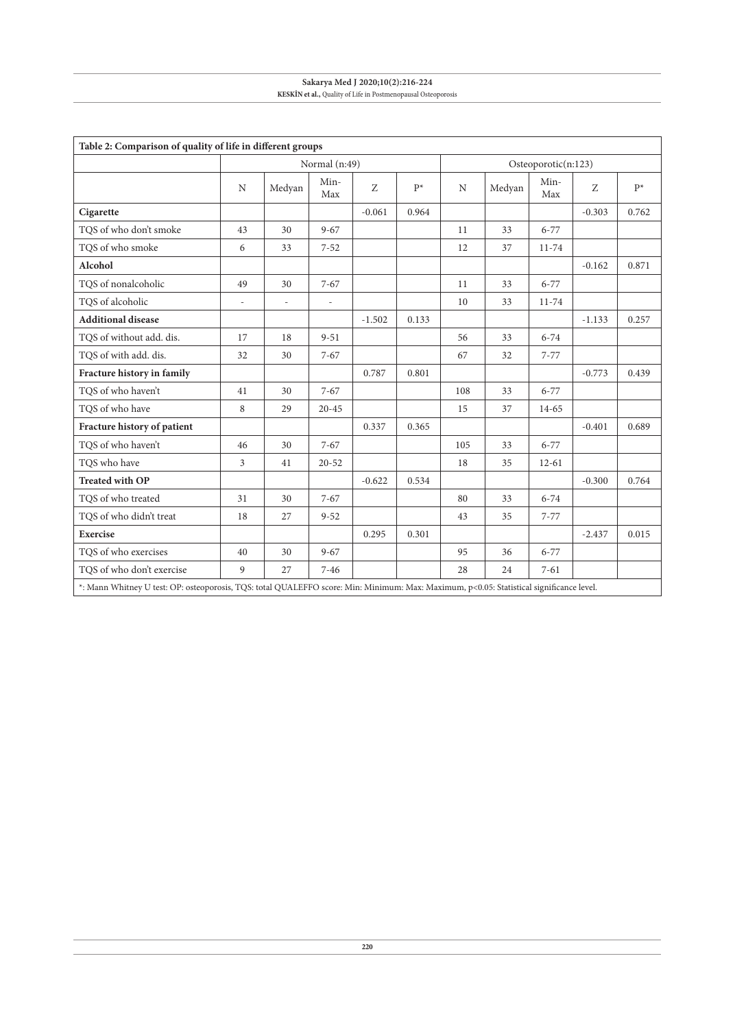| Table 2: Comparison of quality of life in different groups                                                                               |               |        |                          |          |                     |     |        |             |          |       |
|------------------------------------------------------------------------------------------------------------------------------------------|---------------|--------|--------------------------|----------|---------------------|-----|--------|-------------|----------|-------|
|                                                                                                                                          | Normal (n:49) |        |                          |          | Osteoporotic(n:123) |     |        |             |          |       |
|                                                                                                                                          | N             | Medyan | Min-<br>Max              | Z.       | $P^*$               | N   | Medyan | Min-<br>Max | Z.       | $P^*$ |
| Cigarette                                                                                                                                |               |        |                          | $-0.061$ | 0.964               |     |        |             | $-0.303$ | 0.762 |
| TOS of who don't smoke                                                                                                                   | 43            | 30     | $9 - 67$                 |          |                     | 11  | 33     | $6 - 77$    |          |       |
| TQS of who smoke                                                                                                                         | 6             | 33     | $7 - 52$                 |          |                     | 12  | 37     | $11 - 74$   |          |       |
| Alcohol                                                                                                                                  |               |        |                          |          |                     |     |        |             | $-0.162$ | 0.871 |
| TQS of nonalcoholic                                                                                                                      | 49            | 30     | $7 - 67$                 |          |                     | 11  | 33     | $6 - 77$    |          |       |
| TQS of alcoholic                                                                                                                         | ÷,            | L,     | $\overline{\phantom{a}}$ |          |                     | 10  | 33     | $11 - 74$   |          |       |
| <b>Additional disease</b>                                                                                                                |               |        |                          | $-1.502$ | 0.133               |     |        |             | $-1.133$ | 0.257 |
| TOS of without add. dis.                                                                                                                 | 17            | 18     | $9 - 51$                 |          |                     | 56  | 33     | $6 - 74$    |          |       |
| TQS of with add. dis.                                                                                                                    | 32            | 30     | $7 - 67$                 |          |                     | 67  | 32     | $7 - 77$    |          |       |
| Fracture history in family                                                                                                               |               |        |                          | 0.787    | 0.801               |     |        |             | $-0.773$ | 0.439 |
| TOS of who haven't                                                                                                                       | 41            | 30     | $7 - 67$                 |          |                     | 108 | 33     | $6 - 77$    |          |       |
| TOS of who have                                                                                                                          | 8             | 29     | $20 - 45$                |          |                     | 15  | 37     | $14 - 65$   |          |       |
| Fracture history of patient                                                                                                              |               |        |                          | 0.337    | 0.365               |     |        |             | $-0.401$ | 0.689 |
| TOS of who haven't                                                                                                                       | 46            | 30     | $7 - 67$                 |          |                     | 105 | 33     | $6 - 77$    |          |       |
| TOS who have                                                                                                                             | 3             | 41     | $20 - 52$                |          |                     | 18  | 35     | $12 - 61$   |          |       |
| <b>Treated with OP</b>                                                                                                                   |               |        |                          | $-0.622$ | 0.534               |     |        |             | $-0.300$ | 0.764 |
| TOS of who treated                                                                                                                       | 31            | 30     | $7 - 67$                 |          |                     | 80  | 33     | $6 - 74$    |          |       |
| TQS of who didn't treat                                                                                                                  | 18            | 27     | $9 - 52$                 |          |                     | 43  | 35     | $7 - 77$    |          |       |
| <b>Exercise</b>                                                                                                                          |               |        |                          | 0.295    | 0.301               |     |        |             | $-2.437$ | 0.015 |
| TQS of who exercises                                                                                                                     | 40            | 30     | $9 - 67$                 |          |                     | 95  | 36     | $6 - 77$    |          |       |
| TQS of who don't exercise                                                                                                                | $\mathbf Q$   | 27     | $7 - 46$                 |          |                     | 28  | 24     | $7 - 61$    |          |       |
| *: Mann Whitney U test: OP: osteoporosis, TQS: total QUALEFFO score: Min: Minimum: Max: Maximum, p<0.05: Statistical significance level. |               |        |                          |          |                     |     |        |             |          |       |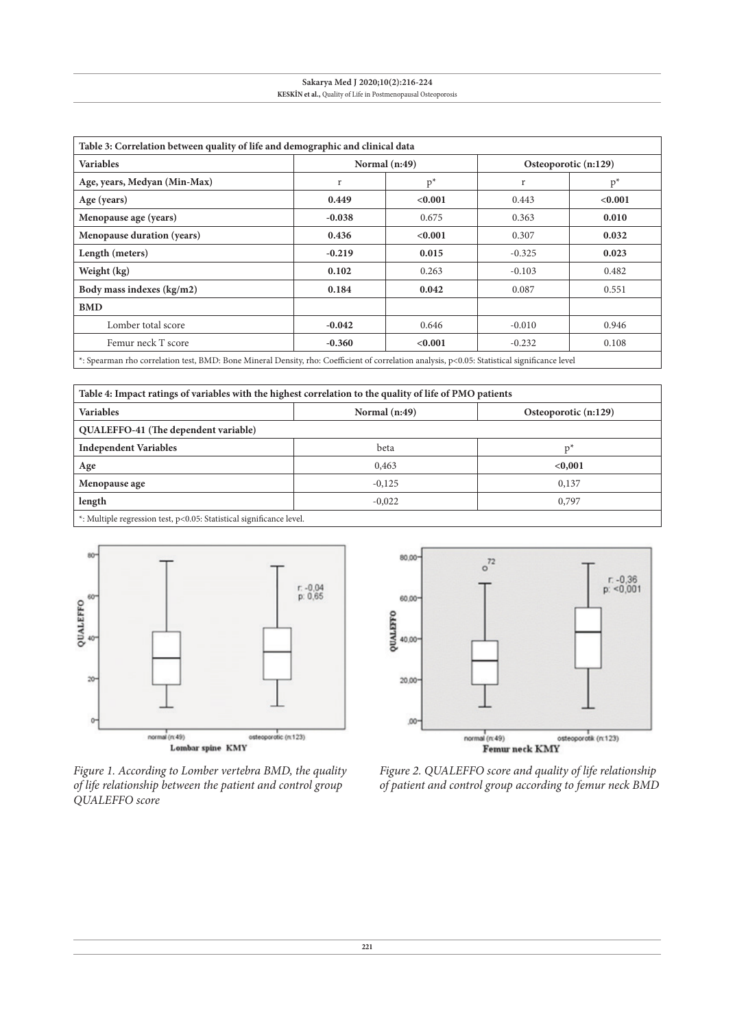| Table 3: Correlation between quality of life and demographic and clinical data                                                                |               |         |                      |         |  |
|-----------------------------------------------------------------------------------------------------------------------------------------------|---------------|---------|----------------------|---------|--|
| <b>Variables</b>                                                                                                                              | Normal (n:49) |         | Osteoporotic (n:129) |         |  |
| Age, years, Medyan (Min-Max)                                                                                                                  | $p^*$<br>r    |         | r                    | $p^*$   |  |
| Age (years)                                                                                                                                   | 0.449         | < 0.001 | 0.443                | < 0.001 |  |
| Menopause age (years)                                                                                                                         | $-0.038$      | 0.675   | 0.363                | 0.010   |  |
| Menopause duration (years)                                                                                                                    | 0.436         | < 0.001 | 0.307                | 0.032   |  |
| Length (meters)                                                                                                                               | $-0.219$      | 0.015   | $-0.325$             | 0.023   |  |
| Weight (kg)                                                                                                                                   | 0.102         | 0.263   | $-0.103$             | 0.482   |  |
| Body mass indexes (kg/m2)                                                                                                                     | 0.184         | 0.042   | 0.087                | 0.551   |  |
| <b>BMD</b>                                                                                                                                    |               |         |                      |         |  |
| Lomber total score                                                                                                                            | $-0.042$      | 0.646   | $-0.010$             | 0.946   |  |
| Femur neck T score                                                                                                                            | $-0.360$      | < 0.001 | $-0.232$             | 0.108   |  |
| *: Spearman rho correlation test, BMD: Bone Mineral Density, rho: Coefficient of correlation analysis, p<0.05: Statistical significance level |               |         |                      |         |  |

\*: Spearman rho correlation test, BMD: Bone Mineral Density, rho: Coefficient of correlation analysis, p<0.05: Statistical significance level

| Table 4: Impact ratings of variables with the highest correlation to the quality of life of PMO patients |                 |                      |  |  |  |
|----------------------------------------------------------------------------------------------------------|-----------------|----------------------|--|--|--|
| <b>Variables</b>                                                                                         | Normal $(n:49)$ | Osteoporotic (n:129) |  |  |  |
| QUALEFFO-41 (The dependent variable)                                                                     |                 |                      |  |  |  |
| <b>Independent Variables</b>                                                                             | beta            |                      |  |  |  |
| Age                                                                                                      | 0.463           | < 0,001              |  |  |  |
| Menopause age                                                                                            | $-0,125$        | 0,137                |  |  |  |
| length                                                                                                   | $-0.022$        | 0,797                |  |  |  |
| *: Multiple regression test, p<0.05: Statistical significance level.                                     |                 |                      |  |  |  |



*Figure 1. According to Lomber vertebra BMD, the quality of life relationship between the patient and control group QUALEFFO score*



*of patient and control group according to femur neck BMD*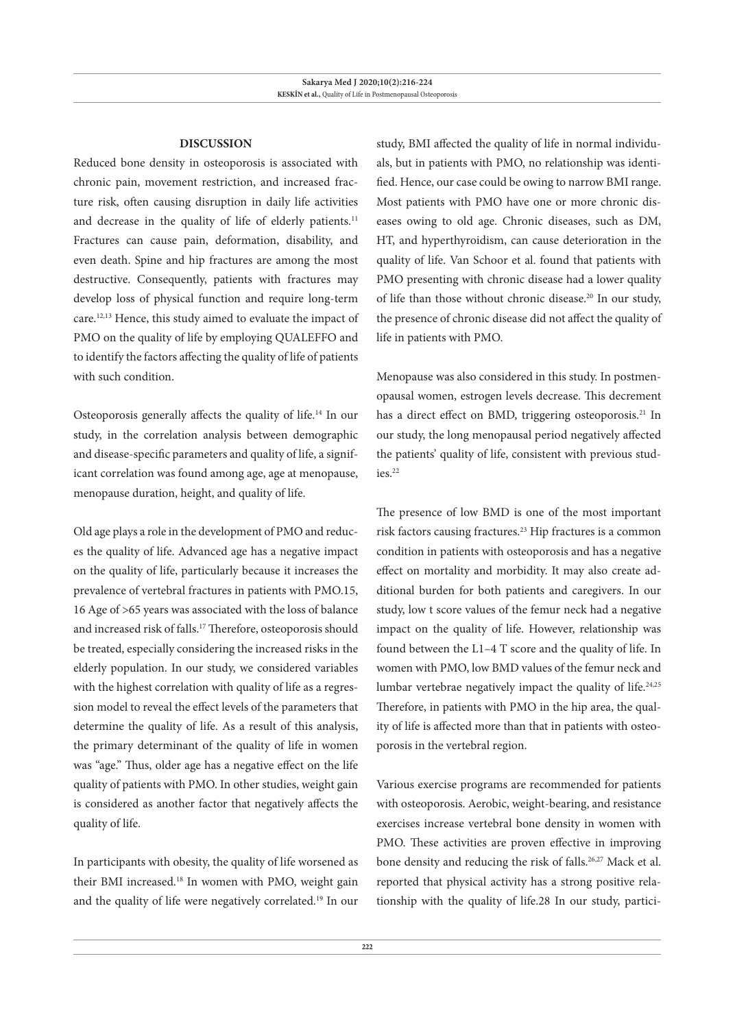#### **DISCUSSION**

Reduced bone density in osteoporosis is associated with chronic pain, movement restriction, and increased fracture risk, often causing disruption in daily life activities and decrease in the quality of life of elderly patients.<sup>11</sup> Fractures can cause pain, deformation, disability, and even death. Spine and hip fractures are among the most destructive. Consequently, patients with fractures may develop loss of physical function and require long-term care.12,13 Hence, this study aimed to evaluate the impact of PMO on the quality of life by employing QUALEFFO and to identify the factors affecting the quality of life of patients with such condition.

Osteoporosis generally affects the quality of life.<sup>14</sup> In our study, in the correlation analysis between demographic and disease-specific parameters and quality of life, a significant correlation was found among age, age at menopause, menopause duration, height, and quality of life.

Old age plays a role in the development of PMO and reduces the quality of life. Advanced age has a negative impact on the quality of life, particularly because it increases the prevalence of vertebral fractures in patients with PMO.15, 16 Age of >65 years was associated with the loss of balance and increased risk of falls.<sup>17</sup> Therefore, osteoporosis should be treated, especially considering the increased risks in the elderly population. In our study, we considered variables with the highest correlation with quality of life as a regression model to reveal the effect levels of the parameters that determine the quality of life. As a result of this analysis, the primary determinant of the quality of life in women was "age." Thus, older age has a negative effect on the life quality of patients with PMO. In other studies, weight gain is considered as another factor that negatively affects the quality of life.

In participants with obesity, the quality of life worsened as their BMI increased.<sup>18</sup> In women with PMO, weight gain and the quality of life were negatively correlated.19 In our

study, BMI affected the quality of life in normal individuals, but in patients with PMO, no relationship was identified. Hence, our case could be owing to narrow BMI range. Most patients with PMO have one or more chronic diseases owing to old age. Chronic diseases, such as DM, HT, and hyperthyroidism, can cause deterioration in the quality of life. Van Schoor et al. found that patients with PMO presenting with chronic disease had a lower quality of life than those without chronic disease.20 In our study, the presence of chronic disease did not affect the quality of life in patients with PMO.

Menopause was also considered in this study. In postmenopausal women, estrogen levels decrease. This decrement has a direct effect on BMD, triggering osteoporosis.<sup>21</sup> In our study, the long menopausal period negatively affected the patients' quality of life, consistent with previous studies.<sup>22</sup>

The presence of low BMD is one of the most important risk factors causing fractures.23 Hip fractures is a common condition in patients with osteoporosis and has a negative effect on mortality and morbidity. It may also create additional burden for both patients and caregivers. In our study, low t score values of the femur neck had a negative impact on the quality of life. However, relationship was found between the L1–4 T score and the quality of life. In women with PMO, low BMD values of the femur neck and lumbar vertebrae negatively impact the quality of life. $24,25$ Therefore, in patients with PMO in the hip area, the quality of life is affected more than that in patients with osteoporosis in the vertebral region.

Various exercise programs are recommended for patients with osteoporosis. Aerobic, weight-bearing, and resistance exercises increase vertebral bone density in women with PMO. These activities are proven effective in improving bone density and reducing the risk of falls.<sup>26,27</sup> Mack et al. reported that physical activity has a strong positive relationship with the quality of life.28 In our study, partici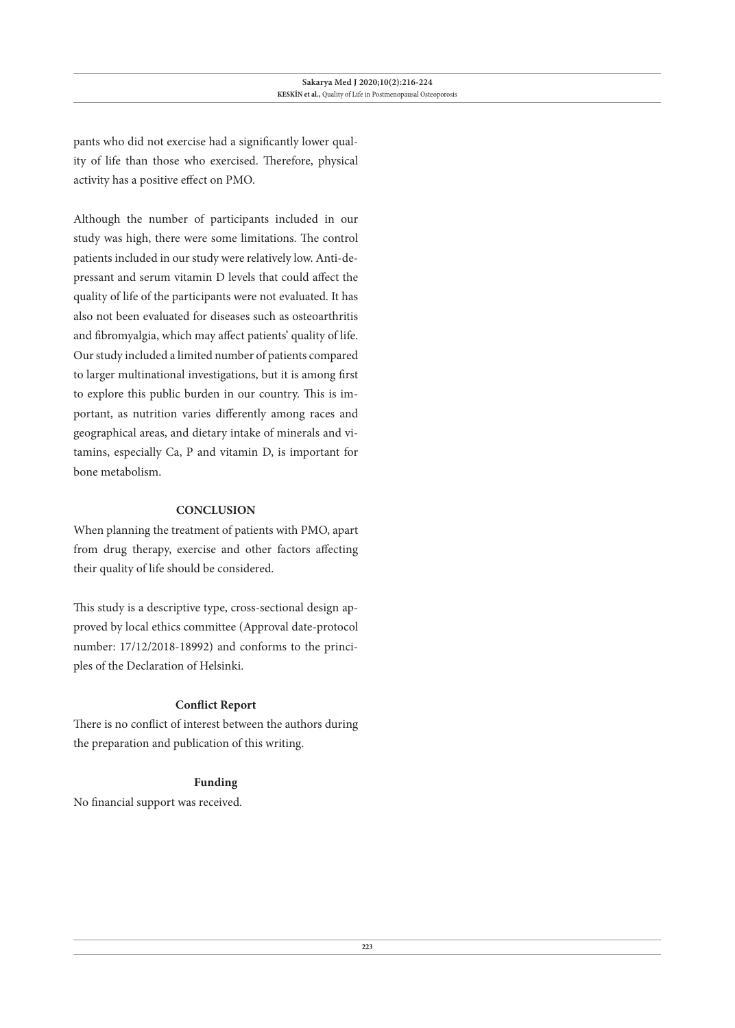pants who did not exercise had a significantly lower quality of life than those who exercised. Therefore, physical activity has a positive effect on PMO.

Although the number of participants included in our study was high, there were some limitations. The control patients included in our study were relatively low. Anti-depressant and serum vitamin D levels that could affect the quality of life of the participants were not evaluated. It has also not been evaluated for diseases such as osteoarthritis and fibromyalgia, which may affect patients' quality of life. Our study included a limited number of patients compared to larger multinational investigations, but it is among first to explore this public burden in our country. This is important, as nutrition varies differently among races and geographical areas, and dietary intake of minerals and vitamins, especially Ca, P and vitamin D, is important for bone metabolism.

### **CONCLUSION**

When planning the treatment of patients with PMO, apart from drug therapy, exercise and other factors affecting their quality of life should be considered.

This study is a descriptive type, cross-sectional design approved by local ethics committee (Approval date-protocol number: 17/12/2018-18992) and conforms to the principles of the Declaration of Helsinki.

### **Conflict Report**

There is no conflict of interest between the authors during the preparation and publication of this writing.

#### **Funding**

No financial support was received.